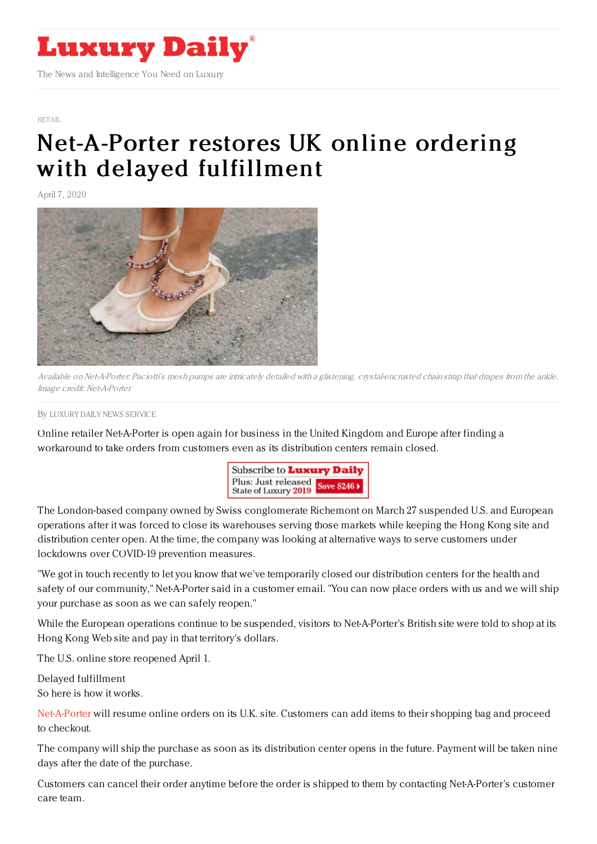

[RETAIL](https://www.luxurydaily.com/category/sectors/retail-industry-sectors/)

## [Net-A-Porter](https://www.luxurydaily.com/net-a-porter-restores-uk-online-ordering-with-delayed-fulfillment/) restores UK online ordering with delayed fulfillment

April 7, 2020



Available on Net-A-Porter: Paciotti's mesh pumps are intricately detailed with a glistening, crystal-encrusted chain strap that drapes from the ankle. Image credit: Net-A-Porter

By LUXURY DAILY NEWS [SERVICE](file:///author/luxury-daily-news-service)

Online retailer Net-A-Porter is open again for business in the United Kingdom and Europe after finding a workaround to take orders from customers even as its distribution centers remain closed.



The London-based company owned by Swiss conglomerate Richemont on March 27 suspended U.S. and European operations after it was forced to close its warehouses serving those markets while keeping the Hong Kong site and distribution center open. At the time, the company was looking at alternative ways to serve customers under lockdowns over COVID-19 prevention measures.

"We got in touch recently to let you know that we've temporarily closed our distribution centers for the health and safety of our community," Net-A-Porter said in a customer email. "You can now place orders with us and we will ship your purchase as soon as we can safely reopen."

While the European operations continue to be suspended, visitors to Net-A-Porter's British site were told to shop at its Hong Kong Web site and pay in that territory's dollars.

The U.S. online store reopened April 1.

Delayed fulfillment So here is how it works.

[Net-A-Porter](https://www.net-a-porter.com/gb/en/) will resume online orders on its U.K. site. Customers can add items to their shopping bag and proceed to checkout.

The company will ship the purchase as soon as its distribution center opens in the future. Payment will be taken nine days after the date of the purchase.

Customers can cancel their order anytime before the order is shipped to them by contacting Net-A-Porter's customer care team.